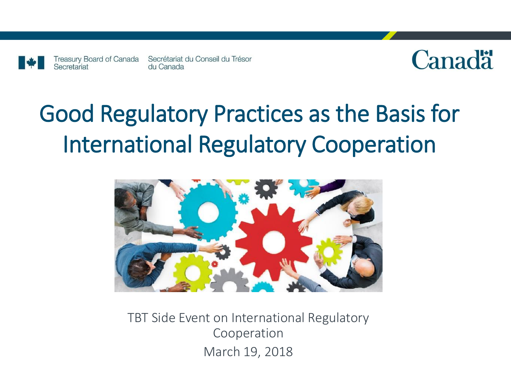

Secretariat



# Good Regulatory Practices as the Basis for International Regulatory Cooperation



TBT Side Event on International Regulatory Cooperation March 19, 2018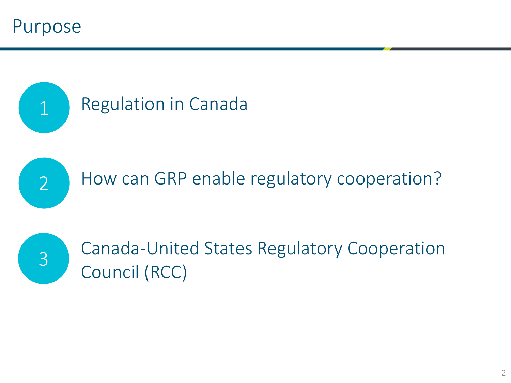Purpose





How can GRP enable regulatory cooperation?



Canada-United States Regulatory Cooperation Council (RCC)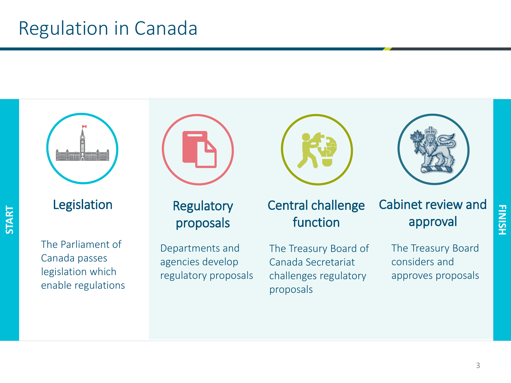## Regulation in Canada

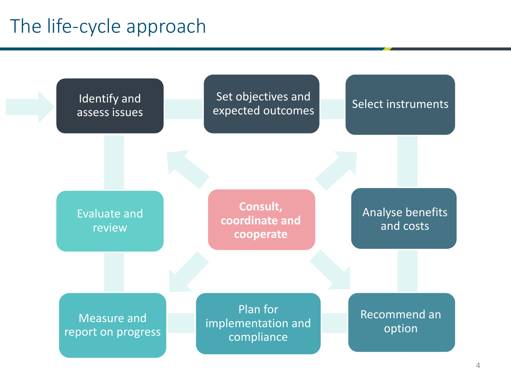## The life-cycle approach

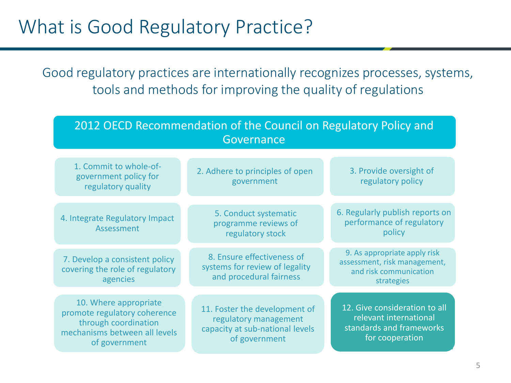## What is Good Regulatory Practice?

Good regulatory practices are internationally recognizes processes, systems, tools and methods for improving the quality of regulations

| 2012 OECD Recommendation of the Council on Regulatory Policy and<br>Governance                                                  |                                                                                                            |                                                                                                        |
|---------------------------------------------------------------------------------------------------------------------------------|------------------------------------------------------------------------------------------------------------|--------------------------------------------------------------------------------------------------------|
| 1. Commit to whole-of-<br>government policy for<br>regulatory quality                                                           | 2. Adhere to principles of open<br>government                                                              | 3. Provide oversight of<br>regulatory policy                                                           |
| 4. Integrate Regulatory Impact<br>Assessment                                                                                    | 5. Conduct systematic<br>programme reviews of<br>regulatory stock                                          | 6. Regularly publish reports on<br>performance of regulatory<br>policy                                 |
| 7. Develop a consistent policy<br>covering the role of regulatory<br>agencies                                                   | 8. Ensure effectiveness of<br>systems for review of legality<br>and procedural fairness                    | 9. As appropriate apply risk<br>assessment, risk management,<br>and risk communication<br>strategies   |
| 10. Where appropriate<br>promote regulatory coherence<br>through coordination<br>mechanisms between all levels<br>of government | 11. Foster the development of<br>regulatory management<br>capacity at sub-national levels<br>of government | 12. Give consideration to all<br>relevant international<br>standards and frameworks<br>for cooperation |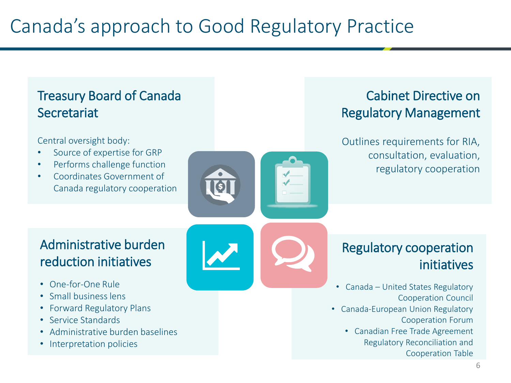#### Treasury Board of Canada **Secretariat**

#### Central oversight body:

- Source of expertise for GRP
- Performs challenge function
- Coordinates Government of Canada regulatory cooperation

#### Cabinet Directive on Regulatory Management

Outlines requirements for RIA, consultation, evaluation, regulatory cooperation

#### Administrative burden reduction initiatives

- One-for-One Rule
- Small business lens
- Forward Regulatory Plans
- Service Standards
- Administrative burden baselines
- Interpretation policies

#### Regulatory cooperation initiatives

- Canada United States Regulatory Cooperation Council
- Canada-European Union Regulatory Cooperation Forum
	- Canadian Free Trade Agreement Regulatory Reconciliation and Cooperation Table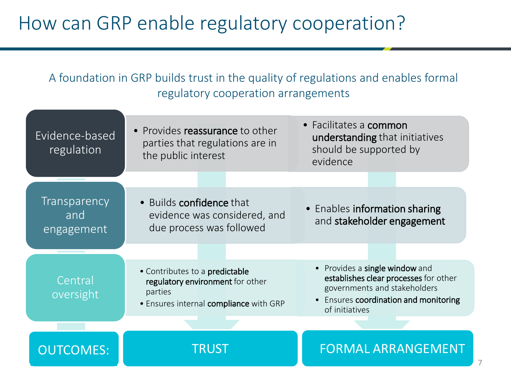## How can GRP enable regulatory cooperation?

A foundation in GRP builds trust in the quality of regulations and enables formal regulatory cooperation arrangements

| Evidence-based<br>regulation      | • Provides reassurance to other<br>parties that regulations are in<br>the public interest                               | • Facilitates a common<br>understanding that initiatives<br>should be supported by<br>evidence                                                                   |
|-----------------------------------|-------------------------------------------------------------------------------------------------------------------------|------------------------------------------------------------------------------------------------------------------------------------------------------------------|
|                                   |                                                                                                                         |                                                                                                                                                                  |
| Transparency<br>and<br>engagement | • Builds confidence that<br>evidence was considered, and<br>due process was followed                                    | • Enables information sharing<br>and stakeholder engagement                                                                                                      |
|                                   |                                                                                                                         |                                                                                                                                                                  |
| Central<br>oversight              | • Contributes to a predictable<br>regulatory environment for other<br>parties<br>· Ensures internal compliance with GRP | • Provides a single window and<br>establishes clear processes for other<br>governments and stakeholders<br>Ensures coordination and monitoring<br>of initiatives |
|                                   |                                                                                                                         |                                                                                                                                                                  |
| <b>OUTCOMES:</b>                  | <b>TRUST</b>                                                                                                            | <b>FORMAL ARRANGEMENT</b>                                                                                                                                        |

7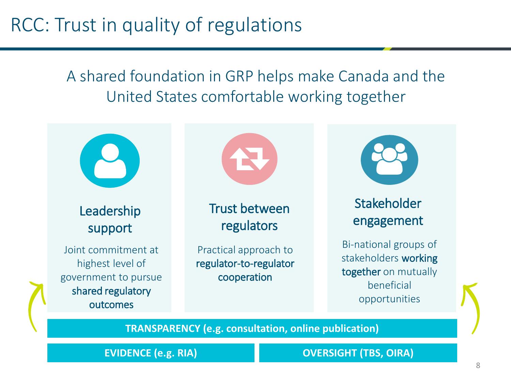## RCC: Trust in quality of regulations

A shared foundation in GRP helps make Canada and the United States comfortable working together



**TRANSPARENCY (e.g. consultation, online publication)**

**EVIDENCE (e.g. RIA) OVERSIGHT (TBS, OIRA)**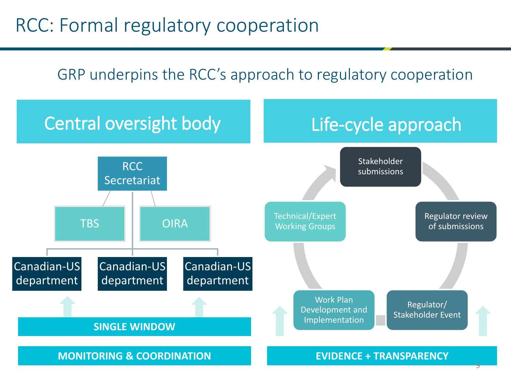## RCC: Formal regulatory cooperation

### GRP underpins the RCC's approach to regulatory cooperation

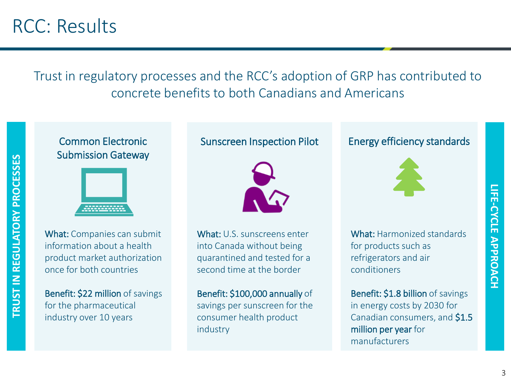Trust in regulatory processes and the RCC's adoption of GRP has contributed to concrete benefits to both Canadians and Americans

#### Common Electronic Submission Gateway



What: Companies can submit information about a health product market authorization once for both countries

Benefit: \$22 million of savings for the pharmaceutical industry over 10 years

#### Sunscreen Inspection Pilot



What: U.S. sunscreens enter into Canada without being quarantined and tested for a second time at the border

Benefit: \$100,000 annually of savings per sunscreen for the consumer health product industry

#### Energy efficiency standards



What: Harmonized standards for products such as refrigerators and air conditioners

Benefit: \$1.8 billion of savings in energy costs by 2030 for Canadian consumers, and \$1.5 million per year for manufacturers

**LIFE-CYCLE APPROACH**

**LIFE-CYCLE APPROACH**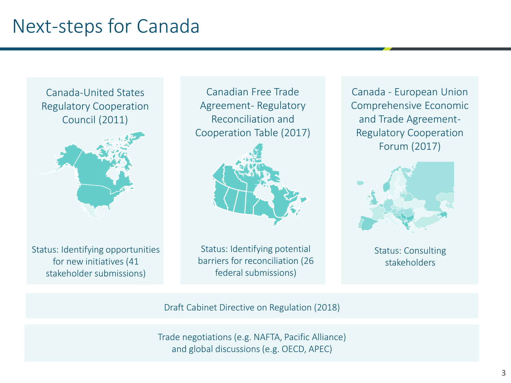## Next-steps for Canada

Canada-United States Regulatory Cooperation Council (2011)



Status: Identifying opportunities for new initiatives (41 stakeholder submissions)

Canadian Free Trade Agreement- Regulatory Reconciliation and Cooperation Table (2017)



Status: Identifying potential barriers for reconciliation (26 federal submissions)

Canada - European Union Comprehensive Economic and Trade Agreement-Regulatory Cooperation Forum (2017)



Status: Consulting stakeholders

Draft Cabinet Directive on Regulation (2018)

Trade negotiations (e.g. NAFTA, Pacific Alliance) and global discussions (e.g. OECD, APEC)